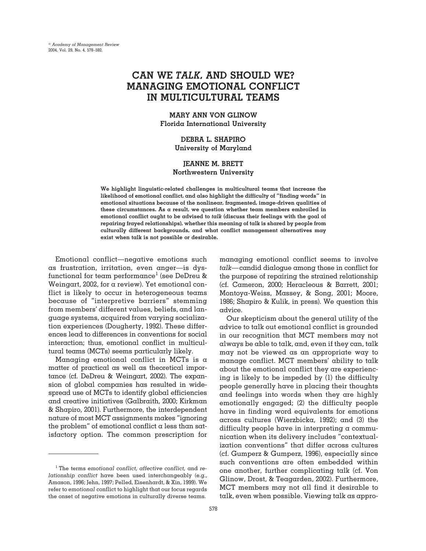# **CAN WE** *TALK***, AND SHOULD WE? MANAGING EMOTIONAL CONFLICT IN MULTICULTURAL TEAMS**

# **MARY ANN VON GLINOW Florida International University**

# **DEBRA L. SHAPIRO University of Maryland**

## **JEANNE M. BRETT Northwestern University**

**We highlight linguistic-related challenges in multicultural teams that increase the likelihood of emotional conflict, and also highlight the difficulty of "finding words" in emotional situations because of the nonlinear, fragmented, image-driven qualities of these circumstances. As a result, we question whether team members embroiled in emotional conflict ought to be advised to** *talk* **(discuss their feelings with the goal of repairing frayed relationships), whether this meaning of talk is shared by people from culturally different backgrounds, and what conflict management alternatives may exist when talk is not possible or desirable.**

Emotional conflict—negative emotions such as frustration, irritation, even anger—is dysfunctional for team performance<sup>1</sup> (see DeDreu & Weingart, 2002, for a review). Yet emotional conflict is likely to occur in heterogeneous teams because of "interpretive barriers" stemming from members' different values, beliefs, and language systems, acquired from varying socialization experiences (Dougherty, 1992). These differences lead to differences in conventions for social interaction; thus, emotional conflict in multicultural teams (MCTs) seems particularly likely.

Managing emotional conflict in MCTs is  $\alpha$ matter of practical as well as theoretical importance (cf. DeDreu & Weingart, 2002). The expansion of global companies has resulted in widespread use of MCTs to identify global efficiencies and creative initiatives (Galbraith, 2000; Kirkman & Shapiro, 2001). Furthermore, the interdependent nature of most MCT assignments makes "ignoring the problem" of emotional conflict  $\alpha$  less than satisfactory option. The common prescription for

managing emotional conflict seems to involve *talk*—candid dialogue among those in conflict for the purpose of repairing the strained relationship (cf. Cameron, 2000; Heracleous & Barrett, 2001; Montoya-Weiss, Massey, & Song, 2001; Moore, 1986; Shapiro & Kulik, in press). We question this advice.

Our skepticism about the general utility of the advice to talk out emotional conflict is grounded in our recognition that MCT members may not always be able to talk, and, even if they can, talk may not be viewed as an appropriate way to manage conflict. MCT members' ability to talk about the emotional conflict they are experiencing is likely to be impeded by (1) the difficulty people generally have in placing their thoughts and feelings into words when they are highly emotionally engaged; (2) the difficulty people have in finding word equivalents for emotions across cultures (Wierzbicka, 1992); and (3) the difficulty people have in interpreting a communication when its delivery includes "contextualization conventions" that differ across cultures (cf. Gumperz & Gumperz, 1996), especially since such conventions are often embedded within one another, further complicating talk (cf. Von Glinow, Drost, & Teagarden, 2002). Furthermore, MCT members may not all find it desirable to talk, even when possible. Viewing talk as appro-

<sup>1</sup> The terms *emotional conflict, affective conflict,* and *relationship conflict* have been used interchangeably (e.g., Amason, 1996; Jehn, 1997; Pelled, Eisenhardt, & Xin, 1999). We refer to *emotional* conflict to highlight that our focus regards the onset of negative emotions in culturally diverse teams.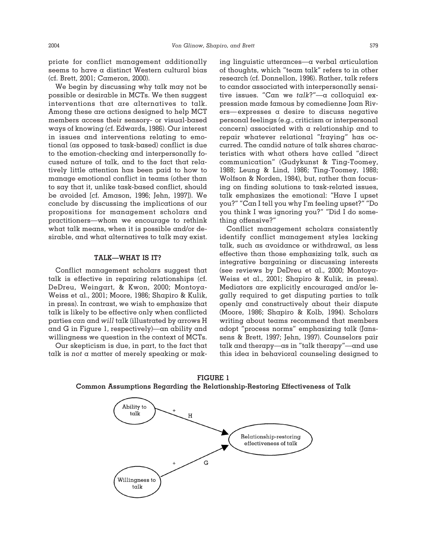priate for conflict management additionally seems to have a distinct Western cultural bias (cf. Brett, 2001; Cameron, 2000).

We begin by discussing why talk may not be possible or desirable in MCTs. We then suggest interventions that are alternatives to talk. Among these are actions designed to help MCT members access their sensory- or visual-based ways of knowing (cf. Edwards, 1986). Our interest in issues and interventions relating to emotional (as opposed to task-based) conflict is due to the emotion-checking and interpersonally focused nature of talk, and to the fact that relatively little attention has been paid to how to manage emotional conflict in teams (other than to say that it, unlike task-based conflict, should be avoided [cf. Amason, 1996; Jehn, 1997]). We conclude by discussing the implications of our propositions for management scholars and practitioners—whom we encourage to rethink what talk means, when it is possible and/or desirable, and what alternatives to talk may exist.

#### **TALK—WHAT IS IT?**

Conflict management scholars suggest that talk is effective in repairing relationships (cf. DeDreu, Weingart, & Kwon, 2000; Montoya-Weiss et al., 2001; Moore, 1986; Shapiro & Kulik, in press). In contrast, we wish to emphasize that talk is likely to be effective only when conflicted parties *can* and *will* talk (illustrated by arrows H and G in Figure 1, respectively)—an ability and willingness we question in the context of MCTs.

Our skepticism is due, in part, to the fact that talk is *not* a matter of merely speaking or making linguistic utterances—a verbal articulation of thoughts, which "team talk" refers to in other research (cf. Donnellon, 1996). Rather, talk refers to candor associated with interpersonally sensitive issues. "Can we *talk*?"—a colloquial expression made famous by comedienne Joan Rivers—expresses a desire to discuss negative personal feelings (e.g., criticism or interpersonal concern) associated with a relationship and to repair whatever relational "fraying" has occurred. The candid nature of talk shares characteristics with what others have called "direct communication" (Gudykunst & Ting-Toomey, 1988; Leung & Lind, 1986; Ting-Toomey, 1988; Wolfson & Norden, 1984), but, rather than focusing on finding solutions to task-related issues, talk emphasizes the emotional: "Have I upset you?" "Can I tell you why I'm feeling upset?" "Do you think I was ignoring you?" "Did I do something offensive?"

Conflict management scholars consistently identify conflict management styles lacking talk, such as avoidance or withdrawal, as less effective than those emphasizing talk, such as integrative bargaining or discussing interests (see reviews by DeDreu et al., 2000; Montoya-Weiss et al., 2001; Shapiro & Kulik, in press). Mediators are explicitly encouraged and/or legally required to get disputing parties to talk openly and constructively about their dispute (Moore, 1986; Shapiro & Kolb, 1994). Scholars writing about teams recommend that members adopt "process norms" emphasizing talk (Janssens & Brett, 1997; Jehn, 1997). Counselors pair talk and therapy—as in "talk therapy"—and use this idea in behavioral counseling designed to

**FIGURE 1 Common Assumptions Regarding the Relationship-Restoring Effectiveness of Talk**

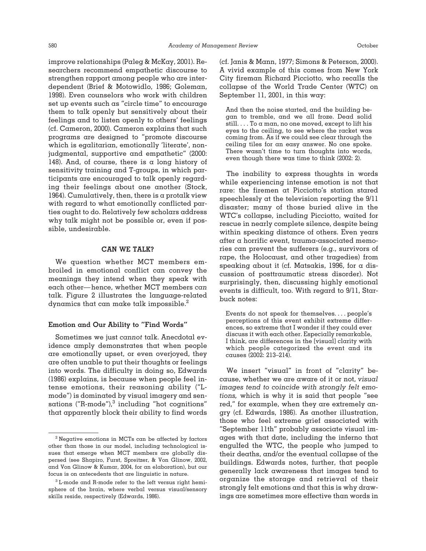improve relationships (Paleg & McKay, 2001). Researchers recommend empathetic discourse to strengthen rapport among people who are interdependent (Brief & Motowidlo, 1986; Goleman, 1998). Even counselors who work with children set up events such as "circle time" to encourage them to talk openly but sensitively about their feelings and to listen openly to others' feelings (cf. Cameron, 2000). Cameron explains that such programs are designed to "promote discourse which is egalitarian, emotionally 'literate', nonjudgmental, supportive and empathetic" (2000: 148). And, of course, there is a long history of sensitivity training and T-groups, in which participants are encouraged to talk openly regarding their feelings about one another (Stock, 1964). Cumulatively, then, there is a protalk view with regard to what emotionally conflicted parties ought to do. Relatively few scholars address why talk might not be possible or, even if possible, undesirable.

### **CAN WE TALK?**

We question whether MCT members embroiled in emotional conflict can convey the meanings they intend when they speak with each other—hence, whether MCT members *can* talk. Figure 2 illustrates the language-related dynamics that can make talk impossible. $^2$ 

## **Emotion and Our Ability to "Find Words"**

Sometimes we just *cannot* talk. Anecdotal evidence amply demonstrates that when people are emotionally upset, or even overjoyed, they are often unable to put their thoughts or feelings into words. The difficulty in doing so, Edwards (1986) explains, is because when people feel intense emotions, their reasoning ability ("Lmode") is dominated by visual imagery and sensations ("R-mode"), $3$  including "hot cognitions" that apparently block their ability to find words (cf. Janis & Mann, 1977; Simons & Peterson, 2000). A vivid example of this comes from New York City fireman Richard Picciotto, who recalls the collapse of the World Trade Center (WTC) on September 11, 2001, in this way:

And then the noise started, and the building began to tremble, and we all froze. Dead solid still.  $\ldots$  To  $\alpha$  man, no one moved, except to lift his eyes to the ceiling, to see where the racket was coming from. As if we could see clear through the ceiling tiles for an easy answer. No one spoke. There wasn't time to turn thoughts into words, even though there was time to think (2002: 2).

The inability to express thoughts in words while experiencing intense emotion is not that rare: the firemen at Picciotto's station stared speechlessly at the television reporting the 9/11 disaster; many of those buried alive in the WTC's collapse, including Picciotto, waited for rescue in nearly complete silence, despite being within speaking distance of others. Even years after a horrific event, trauma-associated memories can prevent the sufferers (e.g., survivors of rape, the Holocaust, and other tragedies) from speaking about it (cf. Matsakis, 1996, for a discussion of posttraumatic stress disorder). Not surprisingly, then, discussing highly emotional events is difficult, too. With regard to 9/11, Starbuck notes:

Events do not speak for themselves.... people's perceptions of this event exhibit extreme differences, so extreme that I wonder if they could ever discuss it with each other. Especially remarkable, I think, are differences in the [visual] clarity with which people categorized the event and its causes (2002: 213–214).

We insert "visual" in front of "clarity" because, whether we are aware of it or not, *visual images tend to coincide with strongly felt emotions,* which is why it is said that people "see red," for example, when they are extremely angry (cf. Edwards, 1986). As another illustration, those who feel extreme grief associated with "September 11th" probably associate visual images with that date, including the inferno that engulfed the WTC, the people who jumped to their deaths, and/or the eventual collapse of the buildings. Edwards notes, further, that people generally lack awareness that images tend to organize the storage and retrieval of their strongly felt emotions and that this is why drawings are sometimes more effective than words in

<sup>2</sup> Negative emotions in MCTs can be affected by factors other than those in our model, including technological issues that emerge when MCT members are globally dispersed (see Shapiro, Furst, Spreitzer, & Von Glinow, 2002, and Von Glinow & Kumar, 2004, for an elaboration), but our focus is on antecedents that are linguistic in nature.

<sup>3</sup> L-mode and R-mode refer to the left versus right hemisphere of the brain, where verbal versus visual/sensory skills reside, respectively (Edwards, 1986).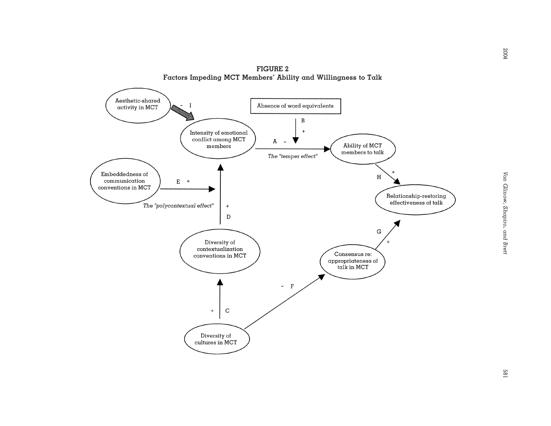

**FIGURE 2 Factors Impeding MCT Members' Ability and Willingness to Talk**

2004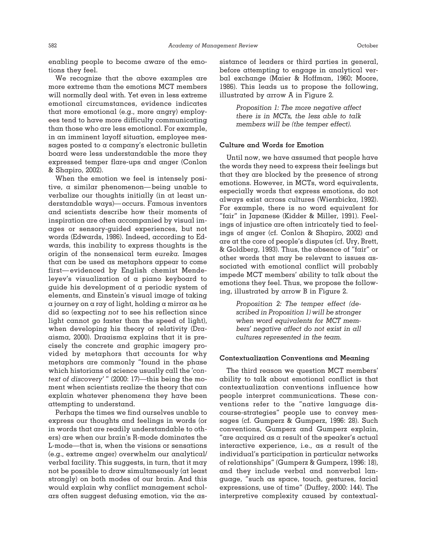enabling people to become aware of the emotions they feel.

We recognize that the above examples are more extreme than the emotions MCT members will normally deal with. Yet even in less extreme emotional circumstances, evidence indicates that more emotional (e.g., more angry) employees tend to have more difficulty communicating than those who are less emotional. For example, in an imminent layoff situation, employee messages posted to a company's electronic bulletin board were less understandable the more they expressed temper flare-ups and anger (Conlon & Shapiro, 2002).

When the emotion we feel is intensely positive, a similar phenomenon—being unable to verbalize our thoughts initially (in at least understandable ways)—occurs. Famous inventors and scientists describe how their moments of inspiration are often accompanied by visual images or sensory-guided experiences, but not words (Edwards, 1986). Indeed, according to Edwards, this inability to express thoughts is the origin of the nonsensical term *eureka.* Images that can be used as metaphors appear to come first—evidenced by English chemist Mendeleyev's visualization of a piano keyboard to guide his development of a periodic system of elements, and Einstein's visual image of taking a journey on a ray of light, holding a mirror as he did so (expecting *not* to see his reflection since light cannot go faster than the speed of light), when developing his theory of relativity (Draaisma, 2000). Draaisma explains that it is precisely the concrete and graphic imagery provided by metaphors that accounts for why metaphors are commonly "found in the phase which historians of science usually call the '*context of discovery*' " (2000: 17)—this being the moment when scientists realize the theory that can explain whatever phenomena they have been attempting to understand.

Perhaps the times we find ourselves unable to express our thoughts and feelings in words (or in words that are readily understandable to others) are when our brain's R-mode dominates the L-mode—that is, when the visions or sensations (e.g., extreme anger) overwhelm our analytical/ verbal facility. This suggests, in turn, that it may not be possible to draw simultaneously (at least strongly) on both modes of our brain. And this would explain why conflict management scholars often suggest defusing emotion, via the assistance of leaders or third parties in general, before attempting to engage in analytical verbal exchange (Maier & Hoffman, 1960; Moore, 1986). This leads us to propose the following, illustrated by arrow A in Figure 2.

> *Proposition 1: The more negative affect there is in MCTs, the less able to talk members will be (the temper effect).*

## **Culture and Words for Emotion**

Until now, we have assumed that people have the words they need to express their feelings but that they are blocked by the presence of strong emotions. However, in MCTs, word equivalents, especially words that express emotions, do not always exist across cultures (Wierzbicka, 1992). For example, there is no word equivalent for "fair" in Japanese (Kidder & Miller, 1991). Feelings of injustice are often intricately tied to feelings of anger (cf. Conlon & Shapiro, 2002) and are at the core of people's disputes (cf. Ury, Brett, & Goldberg, 1993). Thus, the absence of "fair" or other words that may be relevant to issues associated with emotional conflict will probably impede MCT members' ability to talk about the emotions they feel. Thus, we propose the following, illustrated by arrow B in Figure 2.

> *Proposition 2: The temper effect (described in Proposition 1) will be stronger when word equivalents for MCT members' negative affect do not exist in all cultures represented in the team.*

#### **Contextualization Conventions and Meaning**

The third reason we question MCT members' ability to talk about emotional conflict is that contextualization conventions influence how people interpret communications. These conventions refer to the "native language discourse-strategies" people use to convey messages (cf. Gumperz & Gumperz, 1996: 28). Such conventions, Gumperz and Gumperz explain, "are acquired as a result of the speaker's actual interactive experience, i.e., as a result of the individual's participation in particular networks of relationships" (Gumperz & Gumperz, 1996: 18), and they include verbal and nonverbal language, "such as space, touch, gestures, facial expressions, use of time" (Duffey, 2000: 144). The interpretive complexity caused by contextual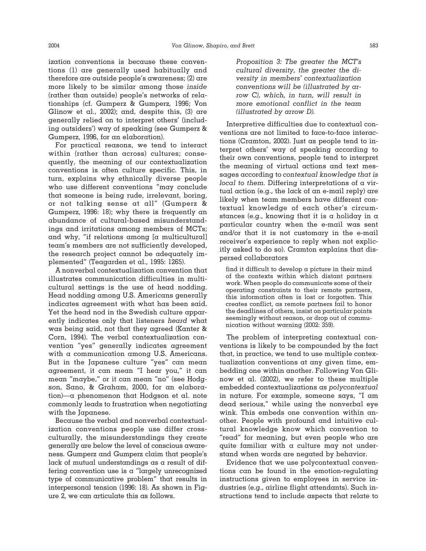ization conventions is because these conventions (1) are generally used habitually and therefore are outside people's awareness; (2) are more likely to be similar among those *inside* (rather than outside) people's networks of relationships (cf. Gumperz & Gumperz, 1996; Von Glinow et al., 2002); and, despite this,  $(3)$  are generally relied on to interpret others' (including outsiders') way of speaking (see Gumperz & Gumperz, 1996, for an elaboration).

For practical reasons, we tend to interact within (rather than across) cultures; consequently, the meaning of our contextualization conventions is often culture specific. This, in turn, explains why ethnically diverse people who use different conventions "may conclude that someone is being rude, irrelevant, boring, or not talking sense at all" (Gumperz & Gumperz, 1996: 18); why there is frequently an abundance of cultural-based misunderstandings and irritations among members of MCTs; and why, "if relations among [a multicultural] team's members are not sufficiently developed, the research project cannot be adequately implemented" (Teagarden et al., 1995: 1265).

A nonverbal contextualization convention that illustrates communication difficulties in multicultural settings is the use of head nodding. Head nodding among U.S. Americans generally indicates agreement with what has been said. Yet the head nod in the Swedish culture apparently indicates only that listeners *heard* what was being said, not that they agreed (Kanter & Corn, 1994). The verbal contextualization convention "yes" generally indicates agreement with a communication among U.S. Americans. But in the Japanese culture "yes" can mean agreement, it can mean "I hear you," it can mean "maybe," or it can mean "no" (see Hodgson, Sano, & Graham, 2000, for an elaboration)—a phenomenon that Hodgson et al. note commonly leads to frustration when negotiating with the Japanese.

Because the verbal and nonverbal contextualization conventions people use differ crossculturally, the misunderstandings they create generally are below the level of conscious awareness. Gumperz and Gumperz claim that people's lack of mutual understandings as a result of differing convention use is a "largely unrecognized type of communicative problem" that results in interpersonal tension (1996: 18). As shown in Figure 2, we can articulate this as follows.

*Proposition 3: The greater the MCT's cultural diversity, the greater the diversity in members' contextualization conventions will be (illustrated by arrow C), which, in turn, will result in more emotional conflict in the team (illustrated by arrow D).*

Interpretive difficulties due to contextual conventions are not limited to face-to-face interactions (Cramton, 2002). Just as people tend to interpret others' way of speaking according to their own conventions, people tend to interpret the meaning of virtual actions and text messages according to *contextual knowledge that is local to them.* Differing interpretations of a virtual action (e.g., the lack of an e-mail reply) are likely when team members have different contextual knowledge of each other's circumstances (e.g., knowing that it is a holiday in  $\alpha$ particular country when the e-mail was sent and/or that it is not customary in the e-mail receiver's experience to reply when not explicitly asked to do so). Cramton explains that dispersed collaborators

find it difficult to develop  $\alpha$  picture in their mind of the contexts within which distant partners work. When people do communicate some of their operating constraints to their remote partners, this information often is lost or forgotten. This creates conflict, as remote partners fail to honor the deadlines of others, insist on particular points seemingly without reason, or drop out of communication without warning (2002: 359).

The problem of interpreting contextual conventions is likely to be compounded by the fact that, in practice, we tend to use multiple contextualization conventions at any given time, embedding one within another. Following Von Glinow et al. (2002), we refer to these multiple embedded contextualizations as *polycontextual* in nature. For example, someone says, "I am dead serious," while using the nonverbal eye wink. This embeds one convention within another. People with profound and intuitive cultural knowledge know which convention to "read" for meaning, but even people who are quite familiar with a culture may not understand when words are negated by behavior.

Evidence that we use polycontextual conventions can be found in the emotion-regulating instructions given to employees in service industries (e.g., airline flight attendants). Such instructions tend to include aspects that relate to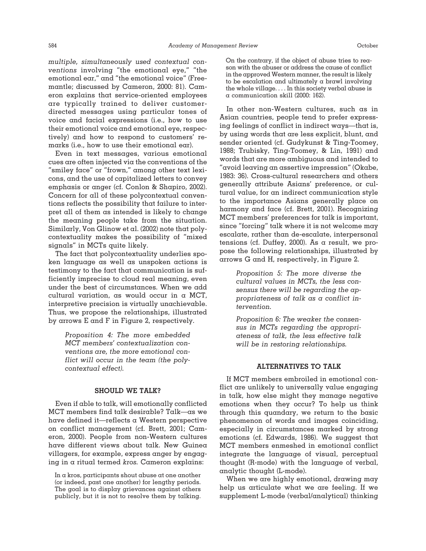*multiple, simultaneously used contextual conventions* involving "the emotional eye," "the emotional ear," and "the emotional voice" (Freemantle; discussed by Cameron, 2000: 81). Cameron explains that service-oriented employees are typically trained to deliver customerdirected messages using particular tones of voice and facial expressions (i.e., how to use their emotional voice and emotional eye, respectively) and how to respond to customers' remarks (i.e., how to use their emotional ear).

Even in text messages, various emotional cues are often injected via the conventions of the "smiley face" or "frown," among other text lexicons, and the use of capitalized letters to convey emphasis or anger (cf. Conlon & Shapiro, 2002). Concern for all of these polycontextual conventions reflects the possibility that failure to interpret all of them as intended is likely to change the meaning people take from the situation. Similarly, Von Glinow et al. (2002) note that polycontextuality makes the possibility of "mixed signals" in MCTs quite likely.

The fact that polycontextuality underlies spoken language as well as unspoken actions is testimony to the fact that communication is sufficiently imprecise to cloud real meaning, even under the best of circumstances. When we add cultural variation, as would occur in a MCT, interpretive precision is virtually unachievable. Thus, we propose the relationships, illustrated by arrows E and F in Figure 2, respectively.

> *Proposition 4: The more embedded MCT members' contextualization conventions are, the more emotional conflict will occur in the team (the polycontextual effect).*

#### **SHOULD WE TALK?**

Even if able to talk, will emotionally conflicted MCT members find talk desirable? Talk—as we have defined it—reflects a Western perspective on conflict management (cf. Brett, 2001; Cameron, 2000). People from non-Western cultures have different views about talk. New Guinea villagers, for example, express anger by engaging in a ritual termed *kros.* Cameron explains:

In a kros, participants shout abuse at one another (or indeed, past one another) for lengthy periods. The goal is to display grievances against others publicly, but it is not to resolve them by talking.

On the contrary, if the object of abuse tries to reason with the abuser or address the cause of conflict in the approved Western manner, the result is likely to be escalation and ultimately a brawl involving the whole village. . . . In this society verbal abuse is a communication skill (2000: 162).

In other non-Western cultures, such as in Asian countries, people tend to prefer expressing feelings of conflict in indirect ways—that is, by using words that are less explicit, blunt, and sender oriented (cf. Gudykunst & Ting-Toomey, 1988; Trubisky, Ting-Toomey, & Lin, 1991) and words that are more ambiguous and intended to "avoid leaving an assertive impression" (Okabe, 1983: 36). Cross-cultural researchers and others generally attribute Asians' preference, or cultural value, for an indirect communication style to the importance Asians generally place on harmony and face (cf. Brett, 2001). Recognizing MCT members' preferences for talk is important, since "forcing" talk where it is not welcome may escalate, rather than de-escalate, interpersonal tensions (cf. Duffey, 2000). As a result, we propose the following relationships, illustrated by arrows G and H, respectively, in Figure 2.

> *Proposition 5: The more diverse the cultural values in MCTs, the less consensus there will be regarding the appropriateness of talk as a conflict intervention.*

> *Proposition 6: The weaker the consensus in MCTs regarding the appropriateness of talk, the less effective talk will be in restoring relationships.*

### **ALTERNATIVES TO TALK**

If MCT members embroiled in emotional conflict are unlikely to universally value engaging in talk, how else might they manage negative emotions when they occur? To help us think through this quandary, we return to the basic phenomenon of words and images coinciding, especially in circumstances marked by strong emotions (cf. Edwards, 1986). We suggest that MCT members enmeshed in emotional conflict integrate the language of visual, perceptual thought (R-mode) with the language of verbal, analytic thought (L-mode).

When we are highly emotional, drawing may help us articulate what we are feeling. If we supplement L-mode (verbal/analytical) thinking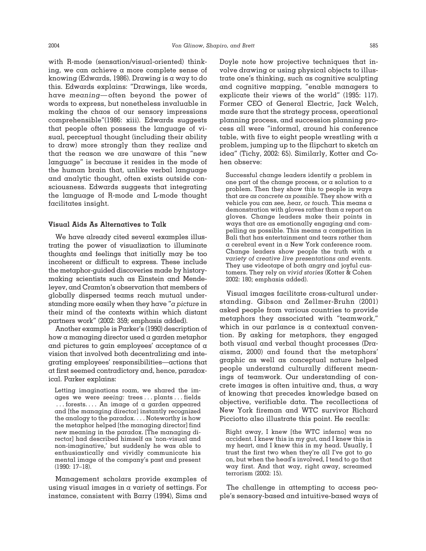with R-mode (sensation/visual-oriented) thinking, we can achieve a more complete sense of knowing (Edwards, 1986). Drawing is a way to do this. Edwards explains: "Drawings, like words, have *meaning*—often beyond the power of words to express, but nonetheless invaluable in making the chaos of our sensory impressions comprehensible"(1986: xiii). Edwards suggests that people often possess the language of visual, perceptual thought (including their ability to draw) more strongly than they realize and that the reason we are unaware of this "new language" is because it resides in the mode of the human brain that, unlike verbal language and analytic thought, often exists outside consciousness. Edwards suggests that integrating the language of R-mode and L-mode thought facilitates insight.

## **Visual Aids As Alternatives to Talk**

We have already cited several examples illustrating the power of visualization to illuminate thoughts and feelings that initially may be too incoherent or difficult to express. These include the metaphor-guided discoveries made by historymaking scientists such as Einstein and Mendeleyev, and Cramton's observation that members of globally dispersed teams reach mutual understanding more easily when they have "*a picture* in their mind of the contexts within which distant partners work" (2002: 359; emphasis added).

Another example is Parker's (1990) description of how a managing director used a garden metaphor and pictures to gain employees' acceptance of a vision that involved both decentralizing and integrating employees' responsibilities—actions that at first seemed contradictory and, hence, paradoxical. Parker explains:

Letting imaginations roam, we shared the images we were *seeing:* trees... plants... fields . . . forests. . . . An image of a garden appeared and [the managing director] instantly recognized the analogy to the paradox.... Noteworthy is how the metaphor helped [the managing director] find new meaning in the paradox. [The managing director] had described himself as 'non-visual and non-imaginative,' but suddenly he was able to enthusiastically and vividly communicate his mental image of the company's past and present (1990: 17–18).

Management scholars provide examples of using visual images in a variety of settings. For instance, consistent with Barry (1994), Sims and

Doyle note how projective techniques that involve drawing or using physical objects to illustrate one's thinking, such as cognitive sculpting and cognitive mapping, "enable managers to explicate their views of the world" (1995: 117). Former CEO of General Electric, Jack Welch, made sure that the strategy process, operational planning process, and succession planning process all were "informal, around his conference table, with five to eight people wrestling with a problem, jumping up to the flipchart to sketch an idea" (Tichy, 2002: 65). Similarly, Kotter and Cohen observe:

Successful change leaders identify a problem in one part of the change process, or a solution to  $\alpha$ problem. Then they show this to people in ways that are *as concrete as possible.* They show with a vehicle you can *see, hear, or touch.* This means a demonstration with gloves rather than a report on gloves. Change leaders make their points in ways that are as emotionally engaging and compelling as possible. This means  $\alpha$  competition in Bali that has entertainment and tears rather than a cerebral event in a New York conference room. Change leaders show people the truth with  $\alpha$ *variety of creative live presentations and events.* They use videotape of both angry and joyful customers. They rely on *vivid stories* (Kotter & Cohen 2002: 180; emphasis added).

Visual images facilitate cross-cultural understanding. Gibson and Zellmer-Bruhn (2001) asked people from various countries to provide metaphors they associated with "teamwork," which in our parlance is a contextual convention. By asking for metaphors, they engaged both visual and verbal thought processes (Draaisma, 2000) and found that the metaphors' graphic as well as conceptual nature helped people understand culturally different meanings of teamwork. Our understanding of concrete images is often intuitive and, thus, a way of knowing that precedes knowledge based on objective, verifiable data. The recollections of New York fireman and WTC survivor Richard Picciotto also illustrate this point. He recalls:

Right away, I knew [the WTC inferno] was no accident. I knew this in my gut, and I knew this in my heart, and I knew this in my head. Usually, I trust the first two when they're all I've got to go on, but when the head's involved, I tend to go that way first. And that way, right away, screamed terrorism (2002: 15).

The challenge in attempting to access people's sensory-based and intuitive-based ways of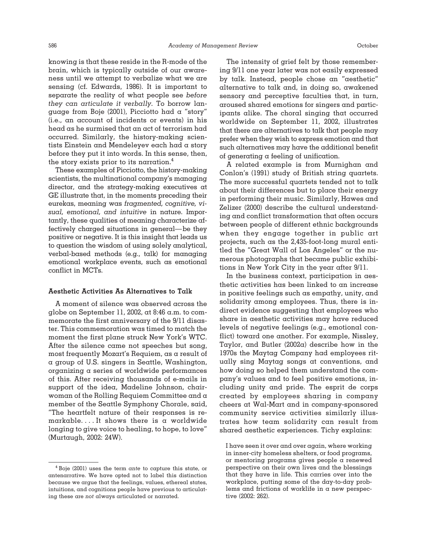knowing is that these reside in the R-mode of the brain, which is typically outside of our awareness until we attempt to verbalize what we are sensing (cf. Edwards, 1986). It is important to separate the reality of what people see *before they can articulate it verbally.* To borrow language from Boje (2001), Picciotto had a "story" (i.e., an account of incidents or events) in his head as he surmised that an act of terrorism had occurred. Similarly, the history-making scientists Einstein and Mendeleyev each had a story before they put it into words. In this sense, then, the story exists prior to its narration.4

These examples of Picciotto, the history-making scientists, the multinational company's managing director, and the strategy-making executives at GE illustrate that, in the moments preceding their eurekas, meaning was *fragmented, cognitive, visual, emotional, and intuitive* in nature. Importantly, these qualities of meaning characterize affectively charged situations in general—be they positive or negative. It is this insight that leads us to question the wisdom of using solely analytical, verbal-based methods (e.g., talk) for managing emotional workplace events, such as emotional conflict in MCTs.

#### **Aesthetic Activities As Alternatives to Talk**

A moment of silence was observed across the globe on September 11, 2002, at 8:46 a.m. to commemorate the first anniversary of the 9/11 disaster. This commemoration was timed to match the moment the first plane struck New York's WTC. After the silence came not speeches but song, most frequently Mozart's Requiem, as a result of a group of U.S. singers in Seattle, Washington, organizing a series of worldwide performances of this. After receiving thousands of e-mails in support of the idea, Madeline Johnson, chairwoman of the Rolling Requiem Committee and a member of the Seattle Symphony Chorale, said, "The heartfelt nature of their responses is remarkable. . . . It shows there is a worldwide longing to give voice to healing, to hope, to love" (Murtaugh, 2002: 24W).

The intensity of grief felt by those remembering 9/11 one year later was not easily expressed by talk. Instead, people chose an "aesthetic" alternative to talk and, in doing so, awakened sensory and perceptive faculties that, in turn, aroused shared emotions for singers and participants alike. The choral singing that occurred worldwide on September 11, 2002, illustrates that there are alternatives to talk that people may prefer when they wish to express emotion and that such alternatives may have the additional benefit of generating a feeling of unification.

A related example is from Murnighan and Conlon's (1991) study of British string quartets. The more successful quartets tended not to talk about their differences but to place their energy in performing their music. Similarly, Hawes and Zelizer (2000) describe the cultural understanding and conflict transformation that often occurs between people of different ethnic backgrounds when they engage together in public art projects, such as the 2,435-foot-long mural entitled the "Great Wall of Los Angeles" or the numerous photographs that became public exhibitions in New York City in the year after 9/11.

In the business context, participation in aesthetic activities has been linked to an increase in positive feelings such as empathy, unity, and solidarity among employees. Thus, there is indirect evidence suggesting that employees who share in aesthetic activities may have reduced levels of negative feelings (e.g., emotional conflict) toward one another. For example, Nissley, Taylor, and Butler (2002a) describe how in the 1970s the Maytag Company had employees ritually sing Maytag songs at conventions, and how doing so helped them understand the company's values and to feel positive emotions, including unity and pride. The esprit de corps created by employees sharing in company cheers at Wal-Mart and in company-sponsored community service activities similarly illustrates how team solidarity can result from shared aesthetic experiences. Tichy explains:

I have seen it over and over again, where working in inner-city homeless shelters, or food programs, or mentoring programs gives people a renewed perspective on their own lives and the blessings that they have in life. This carries over into the workplace, putting some of the day-to-day problems and frictions of worklife in a new perspective (2002: 262).

<sup>4</sup> Boje (2001) uses the term *ante* to capture this state, or antenarrative. We have opted not to label this distinction because we argue that the feelings, values, ethereal states, intuitions, and cognitions people have previous to articulating these are *not* always articulated or narrated.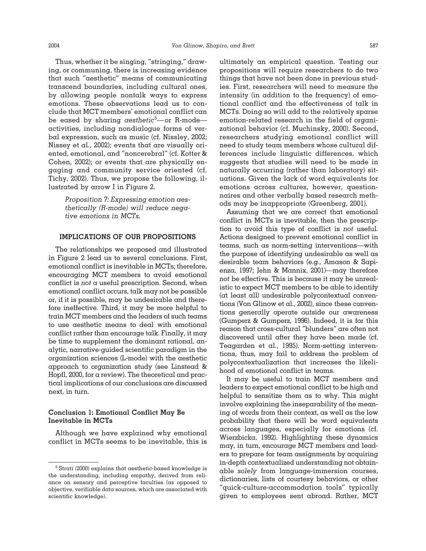Thus, whether it be singing, "stringing," drawing, or communing, there is increasing evidence that such "aesthetic" means of communicating transcend boundaries, including cultural ones, by allowing people nontalk ways to express emotions. These observations lead us to conclude that MCT members' emotional conflict can be eased by sharing *aesthetic*<sup>5</sup> —or R-mode activities, including nondialogue forms of verbal expression, such as music (cf. Nissley, 2002; Nissey et al., 2002); events that are visually oriented, emotional, and "noncerebral" (cf. Kotter & Cohen, 2002); or events that are physically engaging and community service oriented (cf. Tichy, 2002). Thus, we propose the following, illustrated by arrow I in Figure 2.

> *Proposition 7: Expressing emotion aesthetically (R-mode) will reduce negative emotions in MCTs.*

# **IMPLICATIONS OF OUR PROPOSITIONS**

The relationships we proposed and illustrated in Figure 2 lead us to several conclusions. First, emotional conflict is inevitable in MCTs; therefore, encouraging MCT members to avoid emotional conflict is *not* a useful prescription. Second, when emotional conflict occurs, talk may not be possible or, if it is possible, may be undesirable and therefore ineffective. Third, it may be more helpful to train MCT members and the leaders of such teams to use aesthetic means to deal with emotional conflict rather than encourage talk. Finally, it may be time to supplement the dominant rational, analytic, narrative-guided scientific paradigm in the organization sciences (L-mode) with the aesthetic approach to organization study (see Linstead & Hopfl, 2000, for a review). The theoretical and practical implications of our conclusions are discussed next, in turn.

## **Conclusion 1: Emotional Conflict May Be Inevitable in MCTs**

Although we have explained why emotional conflict in MCTs seems to be inevitable, this is ultimately an empirical question. Testing our propositions will require researchers to do two things that have not been done in previous studies. First, researchers will need to measure the intensity (in addition to the frequency) of emotional conflict and the effectiveness of talk in MCTs. Doing so will add to the relatively sparse emotion-related research in the field of organizational behavior (cf. Muchinsky, 2000). Second, researchers studying emotional conflict will need to study team members whose cultural differences include linguistic differences, which suggests that studies will need to be made in naturally occurring (rather than laboratory) situations. Given the lack of word equivalents for emotions across cultures, however, questionnaires and other verbally based research methods may be inappropriate (Greenberg, 2001).

Assuming that we are correct that emotional conflict in MCTs is inevitable, then the prescription to avoid this type of conflict is *not* useful. Actions designed to prevent emotional conflict in teams, such as norm-setting interventions—with the purpose of identifying undesirable as well as desirable team behaviors (e.g., Amason & Sapienza, 1997; Jehn & Mannix, 2001)—may therefore *not* be effective. This is because it may be unrealistic to expect MCT members to be able to identify (at least all) undesirable polycontextual conventions (Von Glinow et al., 2002), since these conventions generally operate outside our awareness (Gumperz & Gumperz, 1996). Indeed, it is for this reason that cross-cultural "blunders" are often not discovered until after they have been made (cf. Teagarden et al., 1995). Norm-setting interventions, thus, may fail to address the problem of polycontextualization that increases the likelihood of emotional conflict in teams.

It may be useful to train MCT members and leaders to expect emotional conflict to be high and helpful to sensitize them as to why. This might involve explaining the inseparability of the meaning of words from their context, as well as the low probability that there will be word equivalents across languages, especially for emotions (cf. Wierzbicka, 1992). Highlighting these dynamics may, in turn, encourage MCT members and leaders to prepare for team assignments by acquiring in-depth contextualized understanding not obtainable *solely* from language-immersion courses, dictionaries, lists of courtesy behaviors, or other "quick-culture-accommodation tools" typically given to employees sent abroad. Rather, MCT

<sup>5</sup> Strati (2000) explains that aesthetic-based knowledge is the understanding, including empathy, derived from reliance on sensory and perceptive faculties (as opposed to objective, verifiable data sources, which are associated with scientific knowledge).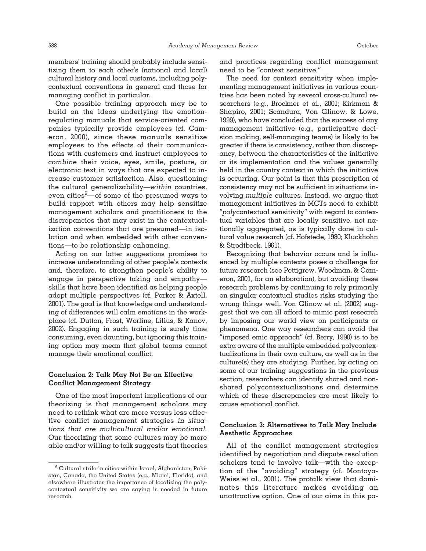members' training should probably include sensitizing them to each other's (national and local) cultural history and local customs, including polycontextual conventions in general and those for managing conflict in particular.

One possible training approach may be to build on the ideas underlying the emotionregulating manuals that service-oriented companies typically provide employees (cf. Cameron, 2000), since these manuals sensitize employees to the effects of their communications with customers and instruct employees to *combine* their voice, eyes, smile, posture, or electronic text in ways that are expected to increase customer satisfaction. Also, questioning the cultural generalizability—*within* countries, even cities<sup>6</sup> of some of the presumed ways to build rapport with others may help sensitize management scholars and practitioners to the discrepancies that may exist in the contextualization conventions that are presumed—in isolation and when embedded with other conventions—to be relationship enhancing.

Acting on our latter suggestions promises to increase understanding of other people's contexts and, therefore, to strengthen people's ability to engage in perspective taking and empathy skills that have been identified as helping people adopt multiple perspectives (cf. Parker & Axtell, 2001). The goal is that knowledge and understanding of differences will calm emotions in the workplace (cf. Dutton, Frost, Worline, Lilius, & Kanov, 2002). Engaging in such training is surely time consuming, even daunting, but ignoring this training option may mean that global teams cannot manage their emotional conflict.

## **Conclusion 2: Talk May Not Be an Effective Conflict Management Strategy**

One of the most important implications of our theorizing is that management scholars may need to rethink what are more versus less effective conflict management strategies *in situations that are multicultural and/or emotional.* Our theorizing that some cultures may be more able and/or willing to talk suggests that theories and practices regarding conflict management need to be "context sensitive."

The need for context sensitivity when implementing management initiatives in various countries has been noted by several cross-cultural researchers (e.g., Brockner et al., 2001; Kirkman & Shapiro, 2001; Scandura, Von Glinow, & Lowe, 1999), who have concluded that the success of any management initiative (e.g., participative decision making, self-managing teams) is likely to be greater if there is consistency, rather than discrepancy, between the characteristics of the initiative or its implementation and the values generally held in the country context in which the initiative is occurring. Our point is that this prescription of consistency may not be sufficient in situations involving *multiple* cultures. Instead, we argue that management initiatives in MCTs need to exhibit "*poly*contextual sensitivity" with regard to contextual variables that are locally sensitive, not nationally aggregated, as is typically done in cultural value research (cf. Hofstede, 1980; Kluckhohn & Strodtbeck, 1961).

Recognizing that behavior occurs and is influenced by multiple contexts poses a challenge for future research (see Pettigrew, Woodman, & Cameron, 2001, for an elaboration), but avoiding these research problems by continuing to rely primarily on singular contextual studies risks studying the wrong things well. Von Glinow et al. (2002) suggest that we can ill afford to mimic past research by imposing our world view on participants or phenomena. One way researchers can avoid the "imposed emic approach" (cf. Berry, 1990) is to be extra aware of the multiple embedded polycontextualizations in their own culture, as well as in the culture(s) they are studying. Further, by acting on some of our training suggestions in the previous section, researchers can identify shared and nonshared polycontextualizations and determine which of these discrepancies are most likely to cause emotional conflict.

## **Conclusion 3: Alternatives to Talk May Include Aesthetic Approaches**

All of the conflict management strategies identified by negotiation and dispute resolution scholars tend to involve talk—with the exception of the "avoiding" strategy (cf. Montoya-Weiss et al., 2001). The protalk view that dominates this literature makes avoiding an unattractive option. One of our aims in this pa-

 $6$  Cultural strife in cities within Israel, Afghanistan, Pakistan, Canada, the United States (e.g., Miami, Florida), and elsewhere illustrates the importance of localizing the polycontextual sensitivity we are saying is needed in future research.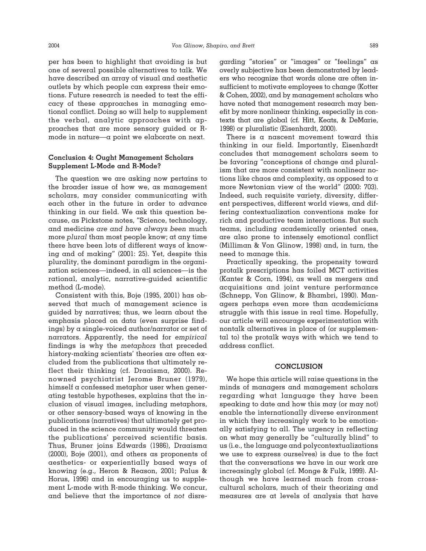per has been to highlight that avoiding is but one of several possible alternatives to talk. We have described an array of visual and aesthetic outlets by which people can express their emotions. Future research is needed to test the efficacy of these approaches in managing emotional conflict. Doing so will help to supplement the verbal, analytic approaches with approaches that are more sensory guided or Rmode in nature—a point we elaborate on next.

## **Conclusion 4: Ought Management Scholars Supplement L-Mode and R-Mode?**

The question we are asking now pertains to the broader issue of how we, as management scholars, may consider communicating with each other in the future in order to advance thinking in our field. We ask this question because, as Pickstone notes, "Science, technology, and medicine *are and have always been* much more *plural* than most people know; at any time there have been lots of different ways of knowing and of making" (2001: 25). Yet, despite this plurality, the dominant paradigm in the organization sciences—indeed, in all sciences—is the rational, analytic, narrative-guided scientific method (L-mode).

Consistent with this, Boje (1995, 2001) has observed that much of management science is guided by narratives; thus, we learn about the emphasis placed on data (even surprise findings) by a single-voiced author/narrator or set of narrators. Apparently, the need for *empirical* findings is why the *metaphors* that preceded history-making scientists' theories are often excluded from the publications that ultimately reflect their thinking (cf. Draaisma, 2000). Renowned psychiatrist Jerome Bruner (1979), himself a confessed metaphor user when generating testable hypotheses, explains that the inclusion of visual images, including metaphors, or other sensory-based ways of knowing in the publications (narratives) that ultimately get produced in the science community would threaten the publications' perceived scientific basis. Thus, Bruner joins Edwards (1986), Draaisma (2000), Boje (2001), and others as proponents of aesthetics- or experientially based ways of knowing (e.g., Heron & Reason, 2001; Palus & Horus, 1996) and in encouraging us to supplement L-mode with R-mode thinking. We concur, and believe that the importance of *not* disregarding "stories" or "images" or "feelings" as overly subjective has been demonstrated by leaders who recognize that words alone are often insufficient to motivate employees to change (Kotter & Cohen, 2002), and by management scholars who have noted that management research may benefit by more nonlinear thinking, especially in contexts that are global (cf. Hitt, Keats, & DeMarie, 1998) or pluralistic (Eisenhardt, 2000).

There is a nascent movement toward this thinking in our field. Importantly, Eisenhardt concludes that management scholars seem to be favoring "conceptions of change and pluralism that are more consistent with nonlinear notions like chaos and complexity, as opposed to a more Newtonian view of the world" (2000: 703). Indeed, such requisite variety, diversity, different perspectives, different world views, and differing contextualization conventions make for rich and productive team interactions. But such teams, including academically oriented ones, are also prone to intensely emotional conflict (Milliman & Von Glinow, 1998) and, in turn, the need to manage this.

Practically speaking, the propensity toward protalk prescriptions has foiled MCT activities (Kanter & Corn, 1994), as well as mergers and acquisitions and joint venture performance (Schnepp, Von Glinow, & Bhambri, 1990). Managers perhaps even more than academicians struggle with this issue in real time. Hopefully, our article will encourage experimentation with nontalk alternatives in place of (or supplemental to) the protalk ways with which we tend to address conflict.

#### **CONCLUSION**

We hope this article will raise questions in the minds of managers and management scholars regarding what language they have been speaking to date and how this may (or may not) enable the internationally diverse environment in which they increasingly work to be emotionally satisfying to all. The urgency in reflecting on what may generally be "culturally blind" to us (i.e., the language and polycontextualizations we use to express ourselves) is due to the fact that the conversations we have in our work are increasingly global (cf. Monge & Fulk, 1999). Although we have learned much from crosscultural scholars, much of their theorizing and measures are at levels of analysis that have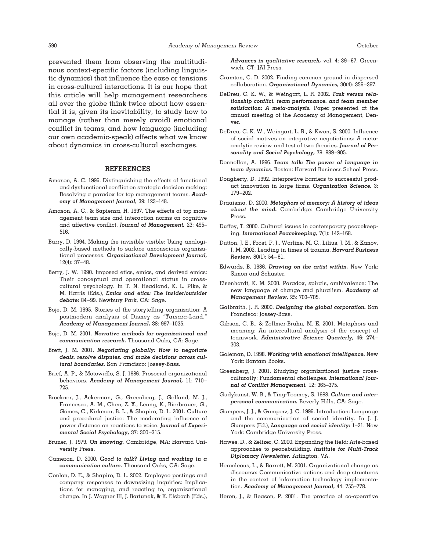prevented them from observing the multitudinous context-specific factors (including linguistic dynamics) that influence the ease or tensions in cross-cultural interactions. It is our hope that this article will help management researchers all over the globe think twice about how essential it is, given its inevitability, to study how to manage (rather than merely avoid) emotional conflict in teams, and how language (including our own academic-speak) affects what we know about dynamics in cross-cultural exchanges.

#### **REFERENCES**

- Amason, A. C. 1996. Distinguishing the effects of functional and dysfunctional conflict on strategic decision making: Resolving a paradox for top management teams. *Academy of Management Journal,* 39: 123–148.
- Amason, A. C., & Sapienza, H. 1997. The effects of top management team size and interaction norms on cognitive and affective conflict. *Journal of Management,* 23: 495– 516.
- Barry, D. 1994. Making the invisible visible: Using analogically-based methods to surface unconscious organizational processes. *Organizational Development Journal,* 12(4): 37–48.
- Berry, J. W. 1990. Imposed etics, emics, and derived emics: Their conceptual and operational status in crosscultural psychology. In T. N. Headland, K. L. Pike, & M. Harris (Eds.), *Emics and etics: The insider/outsider debate:* 84–99. Newbury Park, CA: Sage.
- Boje, D. M. 1995. Stories of the storytelling organization: A postmodern analysis of Disney as "*Tamara*-Land." *Academy of Management Journal,* 38: 997–1035.
- Boje, D. M. 2001. *Narrative methods for organizational and communication research.* Thousand Oaks, CA: Sage.
- Brett, J. M. 2001. *Negotiating globally: How to negotiate deals, resolve disputes, and make decisions across cultural boundaries.* San Francisco: Jossey-Bass.
- Brief, A. P., & Motowidlo, S. J. 1986. Prosocial organizational behaviors. *Academy of Management Journal,* 11: 710– 725.
- Brockner, J., Ackerman, G., Greenberg, J., Gelfand, M. J., Francesco, A. M., Chen, Z. X., Leung, K., Bierbrauer, G., Gómez, C., Kirkman, B. L., & Shapiro, D. L. 2001. Culture and procedural justice: The moderating influence of power distance on reactions to voice. *Journal of Experimental Social Psychology,* 37: 300–315.
- Bruner, J. 1979. *On knowing.* Cambridge, MA: Harvard University Press.
- Cameron, D. 2000. *Good to talk? Living and working in a communication culture.* Thousand Oaks, CA: Sage.
- Conlon, D. E., & Shapiro, D. L. 2002. Employee postings and company responses to downsizing inquiries: Implications for managing, and reacting to, organizational change. In J. Wagner III, J. Bartunek, & K. Elsbach (Eds.),

*Advances in qualitative research,* vol. 4: 39–67. Greenwich, CT: JAI Press.

- Cramton, C. D. 2002. Finding common ground in dispersed collaboration. *Organizational Dynamics,* 30(4): 356–367.
- DeDreu, C. K. W., & Weingart, L. R. 2002. *Task versus relationship conflict, team performance, and team member satisfaction: A meta-analysis.* Paper presented at the annual meeting of the Academy of Management, Denver.
- DeDreu, C. K. W., Weingart, L. R., & Kwon, S. 2000. Influence of social motives on integrative negotiations: A metaanalytic review and test of two theories. *Journal of Personality and Social Psychology,* 78: 889–905.
- Donnellon, A. 1996. *Team talk: The power of language in team dynamics.* Boston: Harvard Business School Press.
- Dougherty, D. 1992. Interpretive barriers to successful product innovation in large firms. *Organization Science,* 3: 179–202.
- Draaisma, D. 2000. *Metaphors of memory: A history of ideas about the mind.* Cambridge: Cambridge University Press.
- Duffey, T. 2000. Cultural issues in contemporary peacekeeping. *International Peacekeeping,* 7(1): 142–168.
- Dutton, J. E., Frost, P. J., Worline, M. C., Lilius, J. M., & Kanov, J. M. 2002. Leading in times of trauma. *Harvard Business Review,* 80(1): 54–61.
- Edwards, B. 1986. *Drawing on the artist within.* New York: Simon and Schuster.
- Eisenhardt, K. M. 2000. Paradox, spirals, ambivalence: The new language of change and pluralism. *Academy of Management Review,* 25: 703–705.
- Galbraith, J. R. 2000. *Designing the global corporation.* San Francisco: Jossey-Bass.
- Gibson, C. B., & Zellmer-Bruhn, M. E. 2001. Metaphors and meaning: An intercultural analysis of the concept of teamwork. *Administrative Science Quarterly,* 46: 274– 303.
- Goleman, D. 1998. *Working with emotional intelligence.* New York: Bantam Books.
- Greenberg, J. 2001. Studying organizational justice crossculturally: Fundamental challenges. *International Journal of Conflict Management,* 12: 365–375.
- Gudykunst, W. B., & Ting-Toomey, S. 1988. *Culture and interpersonal communication.* Beverly Hills, CA: Sage.
- Gumperz, J. J., & Gumperz, J. C. 1996. Introduction: Language and the communication of social identity. In J. J. Gumperz (Ed.), *Language and social identity:* 1–21. New York: Cambridge University Press.
- Hawes, D., & Zelizer, C. 2000. Expanding the field: Arts-based approaches to peacebuilding. *Institute for Multi-Track Diplomacy Newsletter,* Arlington, VA.
- Heracleous, L., & Barrett, M. 2001. Organizational change as discourse: Communicative actions and deep structures in the context of information technology implementation. *Academy of Management Journal,* 44: 755–778.
- Heron, J., & Reason, P. 2001. The practice of co-operative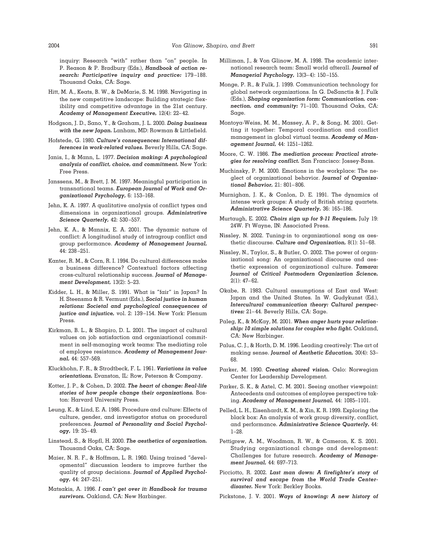inquiry: Research "with" rather than "on" people. In P. Reason & P. Bradbury (Eds.), *Handbook of action research: Participative inquiry and practice:* 179 –188. Thousand Oaks, CA: Sage.

- Hitt, M. A., Keats, B. W., & DeMarie, S. M. 1998. Navigating in the new competitive landscape: Building strategic flexibility and competitive advantage in the 21st century. *Academy of Management Executive,* 12(4): 22–42.
- Hodgson, J. D., Sano, Y., & Graham, J. L. 2000. *Doing business with the new Japan.* Lanham, MD: Rowman & Littlefield.
- Hofstede, G. 1980. *Culture's consequences: International differences in work-related values.* Beverly Hills, CA: Sage.
- Janis, I., & Mann, L. 1977. *Decision making: A psychological analysis of conflict, choice, and commitment.* New York: Free Press.
- Janssens, M., & Brett, J. M. 1997. Meaningful participation in transnational teams. *European Journal of Work and Organizational Psychology,* 6: 153–168.
- Jehn, K. A. 1997. A qualitative analysis of conflict types and dimensions in organizational groups. *Administrative Science Quarterly,* 42: 530–557.
- Jehn, K. A., & Mannix, E. A. 2001. The dynamic nature of conflict: A longitudinal study of intragroup conflict and group performance. *Academy of Management Journal,* 44: 238–251.
- Kanter, R. M., & Corn, R. I. 1994. Do cultural differences make a business difference? Contextual factors affecting cross-cultural relationship success. *Journal of Management Development,* 13(2): 5–23.
- Kidder, L. H., & Miller, S. 1991. What is "fair" in Japan? In H. Steensma & R. Vermunt (Eds.), *Social justice in human relations: Societal and psychological consequences of justice and injustice,* vol. 2: 139–154. New York: Plenum Press.
- Kirkman, B. L., & Shapiro, D. L. 2001. The impact of cultural values on job satisfaction and organizational commitment in self-managing work teams: The mediating role of employee resistance. *Academy of Management Journal,* 44: 557–569.
- Kluckhohn, F. R., & Strodtbeck, F. L. 1961. *Variations in value orientations.* Evanston, IL: Row, Peterson & Company.
- Kotter, J. P., & Cohen, D. 2002. *The heart of change: Real-life stories of how people change their organizations.* Boston: Harvard University Press.
- Leung, K., & Lind, E. A. 1986. Procedure and culture: Effects of culture, gender, and investigator status on procedural preferences. *Journal of Personality and Social Psychology,* 19: 35–49.
- Linstead, S., & Hopfl, H. 2000. *The aesthetics of organization.* Thousand Oaks, CA: Sage.
- Maier, N. R. F., & Hoffman, L. R. 1960. Using trained "developmental" discussion leaders to improve further the quality of group decisions. *Journal of Applied Psychology,* 44: 247–251.
- Matsakis, A. 1996. *I can't get over it: Handbook for trauma survivors.* Oakland, CA: New Harbinger.
- Milliman, J., & Von Glinow, M. A. 1998. The academic international research team: Small world afterall. *Journal of Managerial Psychology,* 13(3–4): 150–155.
- Monge, P. R., & Fulk, J. 1999. Communication technology for global network organizations. In G. DeSanctis & J. Fulk (Eds.), *Shaping organization form: Communication, connection, and community:* 71–100. Thousand Oaks, CA: Sage.
- Montoya-Weiss, M. M., Massey, A. P., & Song, M. 2001. Getting it together: Temporal coordination and conflict management in global virtual teams. *Academy of Management Journal,* 44: 1251–1262.
- Moore, C. W. 1986. *The mediation process: Practical strategies for resolving conflict.* San Francisco: Jossey-Bass.
- Muchinsky, P. M. 2000. Emotions in the workplace: The neglect of organizational behavior. *Journal of Organizational Behavior,* 21: 801–806.
- Murnighan, J. K., & Conlon, D. E. 1991. The dynamics of intense work groups: A study of British string quartets. *Administrative Science Quarterly,* 36: 165–186.
- Murtaugh, E. 2002. *Choirs sign up for 9-11 Requiem,* July 19: 24W. Ft Wayne, IN: Associated Press.
- Nissley, N. 2002. Tuning-in to organizational song as aesthetic discourse. *Culture and Organization,* 8(1): 51–68.
- Nissley, N., Taylor, S., & Butler, O. 2002. The power of organizational song: An organizational discourse and aesthetic expression of organizational culture. *Tamara: Journal of Critical Postmodern Organization Science,* 2(1): 47–62.
- Okabe, R. 1983. Cultural assumptions of East and West: Japan and the United States. In W. Gudykunst (Ed.), *Intercultural communication theory: Cultural perspectives:* 21–44. Beverly Hills, CA: Sage.
- Paleg, K., & McKay, M. 2001. *When anger hurts your relationship: 10 simple solutions for couples who fight.* Oakland, CA: New Harbinger.
- Palus, C. J., & Horth, D. M. 1996. Leading creatively: The art of making sense. *Journal of Aesthetic Education,* 30(4): 53– 68.
- Parker, M. 1990. *Creating shared vision.* Oslo: Norwegian Center for Leadership Development.
- Parker, S. K., & Axtel, C. M. 2001. Seeing another viewpoint: Antecedents and outcomes of employee perspective taking. *Academy of Management Journal,* 44: 1085–1101.
- Pelled, L. H., Eisenhardt, K. M., & Xin, K. R. 1999. Exploring the black box: An analysis of work group diversity, conflict, and performance. *Administrative Science Quarterly,* 44: 1–28.
- Pettigrew, A. M., Woodman, R. W., & Cameron, K. S. 2001. Studying organizational change and development: Challenges for future research. *Academy of Management Journal,* 44: 697–713.
- Picciotto, R. 2002. *Last man down: A firefighter's story of survival and escape from the World Trade Centerdisaster.* New York: Berkley Books.
- Pickstone, J. V. 2001. *Ways of knowing: A new history of*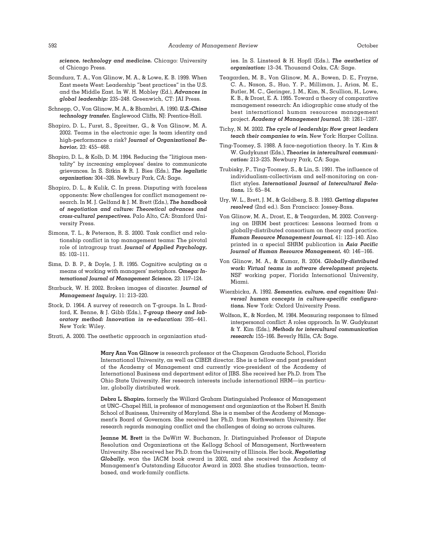*science, technology and medicine.* Chicago: University of Chicago Press.

- Scandura, T. A., Von Glinow, M. A., & Lowe, K. B. 1999. When East meets West: Leadership "best practices" in the U.S. and the Middle East. In W. H. Mobley (Ed.), *Advances in global leadership:* 235–248. Greenwich, CT: JAI Press.
- Schnepp, O., Von Glinow, M. A., & Bhambri, A. 1990. *U.S.-China technology transfer.* Englewood Cliffs, NJ: Prentice-Hall.
- Shapiro, D. L., Furst, S., Spreitzer, G., & Von Glinow, M. A. 2002. Teams in the electronic age: Is team identity and high-performance a risk? *Journal of Organizational Behavior,* 23: 455–468.
- Shapiro, D. L., & Kolb, D. M. 1994. Reducing the "litigious mentality" by *increasing* employees' desire to communicate grievances. In S. Sitkin & R. J. Bies (Eds.), *The legalistic organization:* 304–326. Newbury Park, CA: Sage.
- Shapiro, D. L., & Kulik, C. In press. Disputing with faceless opponents: New challenges for conflict management research. In M. J. Gelfand & J. M. Brett (Eds.), *The handbook of negotiation and culture: Theoretical advances and cross-cultural perspectives.* Palo Alto, CA: Stanford University Press.
- Simons, T. L., & Peterson, R. S. 2000. Task conflict and relationship conflict in top management teams: The pivotal role of intragroup trust. *Journal of Applied Psychology,* 85: 102–111.
- Sims, D. B. P., & Doyle, J. R. 1995. Cognitive sculpting as a means of working with managers' metaphors. *Omega: International Journal of Management Science,* 23: 117–124.
- Starbuck, W. H. 2002. Broken images of disaster. *Journal of Management Inquiry,* 11: 213–220.
- Stock, D. 1964. A survey of research on T-groups. In L. Bradford, K. Benne, & J. Gibb (Eds.), *T-group theory and laboratory method: Innovation in re-education:* 395– 441. New York: Wiley.
- Strati, A. 2000. The aesthetic approach in organization stud-

ies. In S. Linstead & H. Hopfl (Eds.), *The aesthetics of organization:* 13–34. Thousand Oaks, CA: Sage.

- Teagarden, M. B., Von Glinow, M. A., Bowen, D. E., Frayne, C. A., Nason, S., Huo, Y. P., Milliman, J., Arias, M. E., Butler, M. C., Geringer, J. M., Kim, N., Scullion, H., Lowe, K. B., & Drost, E. A. 1995. Toward a theory of comparative management research: An idiographic case study of the best international human resources management project. *Academy of Management Journal,* 38: 1261–1287.
- Tichy, N. M. 2002. *The cycle of leadership: How great leaders teach their companies to win.* New York: Harper Collins.
- Ting-Toomey, S. 1988. A face-negotiation theory. In Y. Kim & W. Gudykunst (Eds.), *Theories in intercultural communication:* 213–235. Newbury Park, CA: Sage.
- Trubisky, P., Ting-Toomey, S., & Lin, S. 1991. The influence of individualism-collectivism and self-monitoring on conflict styles. *International Journal of Intercultural Relations,* 15: 65–84.
- Ury, W. L., Brett, J. M., & Goldberg, S. B. 1993. *Getting disputes resolved* (2nd ed.). San Francisco: Jossey-Bass.
- Von Glinow, M. A., Drost, E., & Teagarden, M. 2002. Converging on IHRM best practices: Lessons learned from a globally-distributed consortium on theory and practice. *Human Resource Management Journal,* 41: 123–140. Also printed in a special SHRM publication in *Asia Pacific Journal of Human Resource Management,* 40: 146–166.
- Von Glinow, M. A., & Kumar, R. 2004. *Globally-distributed work: Virtual teams in software development projects.* NSF working paper, Florida International University, Miami.
- Wierzbicka, A. 1992. *Semantics, culture, and cognition: Universal human concepts in culture-specific configurations.* New York: Oxford University Press.
- Wolfson, K., & Norden, M. 1984. Measuring responses to filmed interpersonal conflict: A roles approach. In W. Gudykunst & Y. Kim (Eds.), *Methods for intercultural communication research:* 155–166. Beverly Hills, CA: Sage.

**Mary Ann Von Glinow** is research professor at the Chapman Graduate School, Florida International University, as well as CIBER director. She is a fellow and past president of the Academy of Management and currently vice-president of the Academy of International Business and department editor of JIBS. She received her Ph.D. from The Ohio State University. Her research interests include international HRM—in particular, globally distributed work.

**Debra L. Shapiro,** formerly the Willard Graham Distinguished Professor of Management at UNC–Chapel Hill, is professor of management and organization at the Robert H. Smith School of Business, University of Maryland. She is a member of the Academy of Management's Board of Governors. She received her Ph.D. from Northwestern University. Her research regards managing conflict and the challenges of doing so across cultures.

**Jeanne M. Brett** is the DeWitt W. Buchanan, Jr. Distinguished Professor of Dispute Resolution and Organizations at the Kellogg School of Management, Northwestern University. She received her Ph.D. from the University of Illinois. Her book, *Negotiating Globally,* won the IACM book award in 2002, and she received the Academy of Management's Outstanding Educator Award in 2003. She studies transaction, teambased, and work-family conflicts.